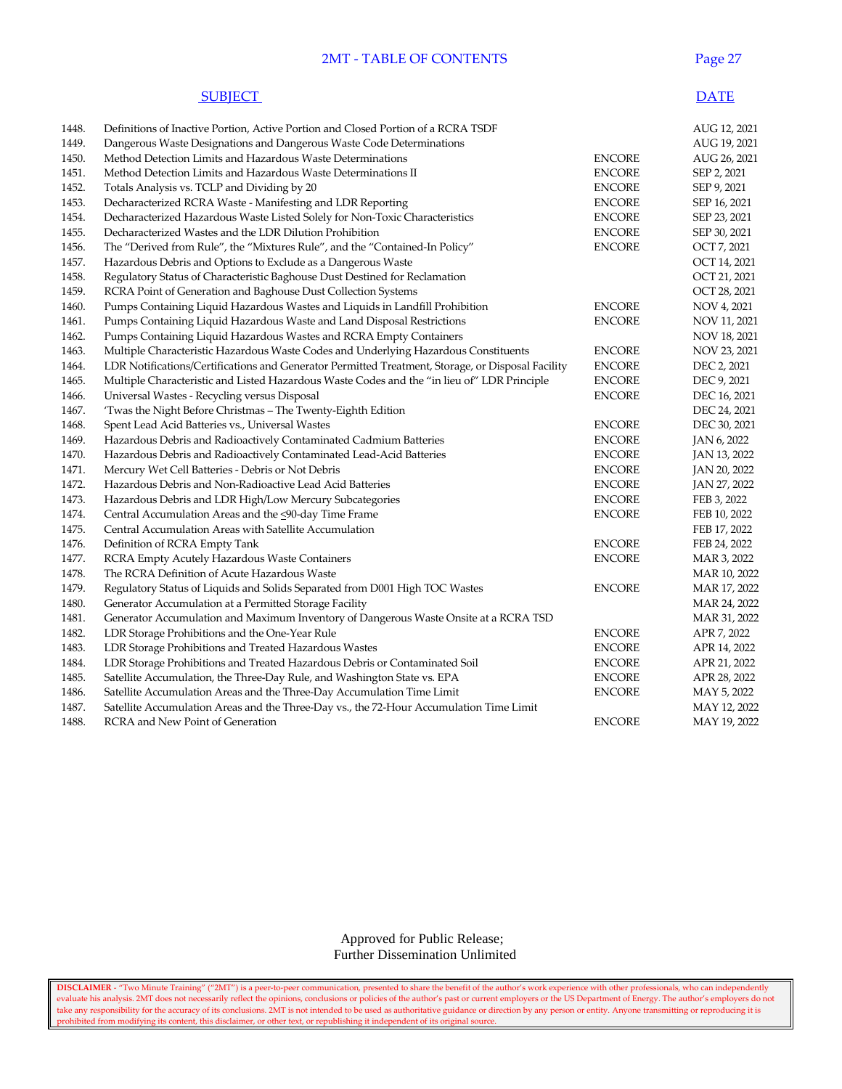## 2MT - TABLE OF CONTENTS Page 27

#### **SUBJECT** DATE

| 1449.<br>Dangerous Waste Designations and Dangerous Waste Code Determinations<br>AUG 19, 2021<br>1450.<br>Method Detection Limits and Hazardous Waste Determinations<br><b>ENCORE</b><br>1451.<br>Method Detection Limits and Hazardous Waste Determinations II<br><b>ENCORE</b><br>SEP 2, 2021<br>1452.<br>Totals Analysis vs. TCLP and Dividing by 20<br><b>ENCORE</b><br>SEP 9, 2021<br>1453.<br>Decharacterized RCRA Waste - Manifesting and LDR Reporting<br><b>ENCORE</b><br>SEP 16, 2021<br>1454.<br><b>ENCORE</b><br>SEP 23, 2021<br>Decharacterized Hazardous Waste Listed Solely for Non-Toxic Characteristics<br><b>ENCORE</b><br>SEP 30, 2021<br>1455.<br>Decharacterized Wastes and the LDR Dilution Prohibition<br>The "Derived from Rule", the "Mixtures Rule", and the "Contained-In Policy"<br><b>ENCORE</b><br>OCT 7, 2021<br>1456.<br>1457.<br>Hazardous Debris and Options to Exclude as a Dangerous Waste<br>OCT 14, 2021<br>1458.<br>Regulatory Status of Characteristic Baghouse Dust Destined for Reclamation<br>OCT 21, 2021<br>OCT 28, 2021<br>1459.<br>RCRA Point of Generation and Baghouse Dust Collection Systems<br>1460.<br>Pumps Containing Liquid Hazardous Wastes and Liquids in Landfill Prohibition<br><b>ENCORE</b><br>NOV 4, 2021<br>1461.<br>Pumps Containing Liquid Hazardous Waste and Land Disposal Restrictions<br><b>ENCORE</b><br>NOV 11, 2021<br>1462.<br>Pumps Containing Liquid Hazardous Wastes and RCRA Empty Containers<br>NOV 18, 2021<br>1463.<br>Multiple Characteristic Hazardous Waste Codes and Underlying Hazardous Constituents<br><b>ENCORE</b><br>NOV 23, 2021<br>LDR Notifications/Certifications and Generator Permitted Treatment, Storage, or Disposal Facility<br>DEC 2, 2021<br>1464.<br><b>ENCORE</b><br>DEC 9, 2021<br>1465.<br>Multiple Characteristic and Listed Hazardous Waste Codes and the "in lieu of" LDR Principle<br><b>ENCORE</b><br>Universal Wastes - Recycling versus Disposal<br><b>ENCORE</b><br>1466.<br>DEC 16, 2021<br>1467.<br>'Twas the Night Before Christmas - The Twenty-Eighth Edition<br>DEC 24, 2021<br>DEC 30, 2021<br>1468.<br>Spent Lead Acid Batteries vs., Universal Wastes<br><b>ENCORE</b><br>1469.<br>Hazardous Debris and Radioactively Contaminated Cadmium Batteries<br><b>ENCORE</b><br>JAN 6, 2022<br>1470.<br><b>ENCORE</b><br>Hazardous Debris and Radioactively Contaminated Lead-Acid Batteries<br>JAN 13, 2022<br>1471.<br><b>ENCORE</b><br>Mercury Wet Cell Batteries - Debris or Not Debris<br>JAN 20, 2022<br>1472.<br><b>ENCORE</b><br>Hazardous Debris and Non-Radioactive Lead Acid Batteries<br>JAN 27, 2022<br>1473.<br>Hazardous Debris and LDR High/Low Mercury Subcategories<br><b>ENCORE</b><br>FEB 3, 2022<br><b>ENCORE</b><br>1474.<br>Central Accumulation Areas and the <90-day Time Frame<br>FEB 10, 2022<br>1475.<br>Central Accumulation Areas with Satellite Accumulation<br>FEB 17, 2022<br>1476.<br><b>ENCORE</b><br>Definition of RCRA Empty Tank<br>FEB 24, 2022<br><b>ENCORE</b><br>1477.<br>RCRA Empty Acutely Hazardous Waste Containers<br>MAR 3, 2022<br>1478.<br>The RCRA Definition of Acute Hazardous Waste<br>1479.<br>Regulatory Status of Liquids and Solids Separated from D001 High TOC Wastes<br><b>ENCORE</b><br>MAR 17, 2022<br>1480.<br>Generator Accumulation at a Permitted Storage Facility<br>MAR 24, 2022<br>1481.<br>Generator Accumulation and Maximum Inventory of Dangerous Waste Onsite at a RCRA TSD<br>1482.<br><b>ENCORE</b><br>APR 7, 2022<br>LDR Storage Prohibitions and the One-Year Rule<br>1483.<br>LDR Storage Prohibitions and Treated Hazardous Wastes<br><b>ENCORE</b><br>APR 14, 2022<br>1484.<br>LDR Storage Prohibitions and Treated Hazardous Debris or Contaminated Soil<br><b>ENCORE</b><br>APR 21, 2022 | 1448. | Definitions of Inactive Portion, Active Portion and Closed Portion of a RCRA TSDF |               | AUG 12, 2021 |
|---------------------------------------------------------------------------------------------------------------------------------------------------------------------------------------------------------------------------------------------------------------------------------------------------------------------------------------------------------------------------------------------------------------------------------------------------------------------------------------------------------------------------------------------------------------------------------------------------------------------------------------------------------------------------------------------------------------------------------------------------------------------------------------------------------------------------------------------------------------------------------------------------------------------------------------------------------------------------------------------------------------------------------------------------------------------------------------------------------------------------------------------------------------------------------------------------------------------------------------------------------------------------------------------------------------------------------------------------------------------------------------------------------------------------------------------------------------------------------------------------------------------------------------------------------------------------------------------------------------------------------------------------------------------------------------------------------------------------------------------------------------------------------------------------------------------------------------------------------------------------------------------------------------------------------------------------------------------------------------------------------------------------------------------------------------------------------------------------------------------------------------------------------------------------------------------------------------------------------------------------------------------------------------------------------------------------------------------------------------------------------------------------------------------------------------------------------------------------------------------------------------------------------------------------------------------------------------------------------------------------------------------------------------------------------------------------------------------------------------------------------------------------------------------------------------------------------------------------------------------------------------------------------------------------------------------------------------------------------------------------------------------------------------------------------------------------------------------------------------------------------------------------------------------------------------------------------------------------------------------------------------------------------------------------------------------------------------------------------------------------------------------------------------------------------------------------------------------------------------------------------------------------------------------------------------------------------------------------------------------------------------------------------------------------------------------------------------------------------------------------------------------------------------------------|-------|-----------------------------------------------------------------------------------|---------------|--------------|
|                                                                                                                                                                                                                                                                                                                                                                                                                                                                                                                                                                                                                                                                                                                                                                                                                                                                                                                                                                                                                                                                                                                                                                                                                                                                                                                                                                                                                                                                                                                                                                                                                                                                                                                                                                                                                                                                                                                                                                                                                                                                                                                                                                                                                                                                                                                                                                                                                                                                                                                                                                                                                                                                                                                                                                                                                                                                                                                                                                                                                                                                                                                                                                                                                                                                                                                                                                                                                                                                                                                                                                                                                                                                                                                                                                                                   |       |                                                                                   |               |              |
|                                                                                                                                                                                                                                                                                                                                                                                                                                                                                                                                                                                                                                                                                                                                                                                                                                                                                                                                                                                                                                                                                                                                                                                                                                                                                                                                                                                                                                                                                                                                                                                                                                                                                                                                                                                                                                                                                                                                                                                                                                                                                                                                                                                                                                                                                                                                                                                                                                                                                                                                                                                                                                                                                                                                                                                                                                                                                                                                                                                                                                                                                                                                                                                                                                                                                                                                                                                                                                                                                                                                                                                                                                                                                                                                                                                                   |       |                                                                                   |               | AUG 26, 2021 |
|                                                                                                                                                                                                                                                                                                                                                                                                                                                                                                                                                                                                                                                                                                                                                                                                                                                                                                                                                                                                                                                                                                                                                                                                                                                                                                                                                                                                                                                                                                                                                                                                                                                                                                                                                                                                                                                                                                                                                                                                                                                                                                                                                                                                                                                                                                                                                                                                                                                                                                                                                                                                                                                                                                                                                                                                                                                                                                                                                                                                                                                                                                                                                                                                                                                                                                                                                                                                                                                                                                                                                                                                                                                                                                                                                                                                   |       |                                                                                   |               |              |
|                                                                                                                                                                                                                                                                                                                                                                                                                                                                                                                                                                                                                                                                                                                                                                                                                                                                                                                                                                                                                                                                                                                                                                                                                                                                                                                                                                                                                                                                                                                                                                                                                                                                                                                                                                                                                                                                                                                                                                                                                                                                                                                                                                                                                                                                                                                                                                                                                                                                                                                                                                                                                                                                                                                                                                                                                                                                                                                                                                                                                                                                                                                                                                                                                                                                                                                                                                                                                                                                                                                                                                                                                                                                                                                                                                                                   |       |                                                                                   |               |              |
|                                                                                                                                                                                                                                                                                                                                                                                                                                                                                                                                                                                                                                                                                                                                                                                                                                                                                                                                                                                                                                                                                                                                                                                                                                                                                                                                                                                                                                                                                                                                                                                                                                                                                                                                                                                                                                                                                                                                                                                                                                                                                                                                                                                                                                                                                                                                                                                                                                                                                                                                                                                                                                                                                                                                                                                                                                                                                                                                                                                                                                                                                                                                                                                                                                                                                                                                                                                                                                                                                                                                                                                                                                                                                                                                                                                                   |       |                                                                                   |               |              |
|                                                                                                                                                                                                                                                                                                                                                                                                                                                                                                                                                                                                                                                                                                                                                                                                                                                                                                                                                                                                                                                                                                                                                                                                                                                                                                                                                                                                                                                                                                                                                                                                                                                                                                                                                                                                                                                                                                                                                                                                                                                                                                                                                                                                                                                                                                                                                                                                                                                                                                                                                                                                                                                                                                                                                                                                                                                                                                                                                                                                                                                                                                                                                                                                                                                                                                                                                                                                                                                                                                                                                                                                                                                                                                                                                                                                   |       |                                                                                   |               |              |
|                                                                                                                                                                                                                                                                                                                                                                                                                                                                                                                                                                                                                                                                                                                                                                                                                                                                                                                                                                                                                                                                                                                                                                                                                                                                                                                                                                                                                                                                                                                                                                                                                                                                                                                                                                                                                                                                                                                                                                                                                                                                                                                                                                                                                                                                                                                                                                                                                                                                                                                                                                                                                                                                                                                                                                                                                                                                                                                                                                                                                                                                                                                                                                                                                                                                                                                                                                                                                                                                                                                                                                                                                                                                                                                                                                                                   |       |                                                                                   |               |              |
|                                                                                                                                                                                                                                                                                                                                                                                                                                                                                                                                                                                                                                                                                                                                                                                                                                                                                                                                                                                                                                                                                                                                                                                                                                                                                                                                                                                                                                                                                                                                                                                                                                                                                                                                                                                                                                                                                                                                                                                                                                                                                                                                                                                                                                                                                                                                                                                                                                                                                                                                                                                                                                                                                                                                                                                                                                                                                                                                                                                                                                                                                                                                                                                                                                                                                                                                                                                                                                                                                                                                                                                                                                                                                                                                                                                                   |       |                                                                                   |               |              |
|                                                                                                                                                                                                                                                                                                                                                                                                                                                                                                                                                                                                                                                                                                                                                                                                                                                                                                                                                                                                                                                                                                                                                                                                                                                                                                                                                                                                                                                                                                                                                                                                                                                                                                                                                                                                                                                                                                                                                                                                                                                                                                                                                                                                                                                                                                                                                                                                                                                                                                                                                                                                                                                                                                                                                                                                                                                                                                                                                                                                                                                                                                                                                                                                                                                                                                                                                                                                                                                                                                                                                                                                                                                                                                                                                                                                   |       |                                                                                   |               |              |
|                                                                                                                                                                                                                                                                                                                                                                                                                                                                                                                                                                                                                                                                                                                                                                                                                                                                                                                                                                                                                                                                                                                                                                                                                                                                                                                                                                                                                                                                                                                                                                                                                                                                                                                                                                                                                                                                                                                                                                                                                                                                                                                                                                                                                                                                                                                                                                                                                                                                                                                                                                                                                                                                                                                                                                                                                                                                                                                                                                                                                                                                                                                                                                                                                                                                                                                                                                                                                                                                                                                                                                                                                                                                                                                                                                                                   |       |                                                                                   |               |              |
|                                                                                                                                                                                                                                                                                                                                                                                                                                                                                                                                                                                                                                                                                                                                                                                                                                                                                                                                                                                                                                                                                                                                                                                                                                                                                                                                                                                                                                                                                                                                                                                                                                                                                                                                                                                                                                                                                                                                                                                                                                                                                                                                                                                                                                                                                                                                                                                                                                                                                                                                                                                                                                                                                                                                                                                                                                                                                                                                                                                                                                                                                                                                                                                                                                                                                                                                                                                                                                                                                                                                                                                                                                                                                                                                                                                                   |       |                                                                                   |               |              |
|                                                                                                                                                                                                                                                                                                                                                                                                                                                                                                                                                                                                                                                                                                                                                                                                                                                                                                                                                                                                                                                                                                                                                                                                                                                                                                                                                                                                                                                                                                                                                                                                                                                                                                                                                                                                                                                                                                                                                                                                                                                                                                                                                                                                                                                                                                                                                                                                                                                                                                                                                                                                                                                                                                                                                                                                                                                                                                                                                                                                                                                                                                                                                                                                                                                                                                                                                                                                                                                                                                                                                                                                                                                                                                                                                                                                   |       |                                                                                   |               |              |
|                                                                                                                                                                                                                                                                                                                                                                                                                                                                                                                                                                                                                                                                                                                                                                                                                                                                                                                                                                                                                                                                                                                                                                                                                                                                                                                                                                                                                                                                                                                                                                                                                                                                                                                                                                                                                                                                                                                                                                                                                                                                                                                                                                                                                                                                                                                                                                                                                                                                                                                                                                                                                                                                                                                                                                                                                                                                                                                                                                                                                                                                                                                                                                                                                                                                                                                                                                                                                                                                                                                                                                                                                                                                                                                                                                                                   |       |                                                                                   |               |              |
|                                                                                                                                                                                                                                                                                                                                                                                                                                                                                                                                                                                                                                                                                                                                                                                                                                                                                                                                                                                                                                                                                                                                                                                                                                                                                                                                                                                                                                                                                                                                                                                                                                                                                                                                                                                                                                                                                                                                                                                                                                                                                                                                                                                                                                                                                                                                                                                                                                                                                                                                                                                                                                                                                                                                                                                                                                                                                                                                                                                                                                                                                                                                                                                                                                                                                                                                                                                                                                                                                                                                                                                                                                                                                                                                                                                                   |       |                                                                                   |               |              |
|                                                                                                                                                                                                                                                                                                                                                                                                                                                                                                                                                                                                                                                                                                                                                                                                                                                                                                                                                                                                                                                                                                                                                                                                                                                                                                                                                                                                                                                                                                                                                                                                                                                                                                                                                                                                                                                                                                                                                                                                                                                                                                                                                                                                                                                                                                                                                                                                                                                                                                                                                                                                                                                                                                                                                                                                                                                                                                                                                                                                                                                                                                                                                                                                                                                                                                                                                                                                                                                                                                                                                                                                                                                                                                                                                                                                   |       |                                                                                   |               |              |
|                                                                                                                                                                                                                                                                                                                                                                                                                                                                                                                                                                                                                                                                                                                                                                                                                                                                                                                                                                                                                                                                                                                                                                                                                                                                                                                                                                                                                                                                                                                                                                                                                                                                                                                                                                                                                                                                                                                                                                                                                                                                                                                                                                                                                                                                                                                                                                                                                                                                                                                                                                                                                                                                                                                                                                                                                                                                                                                                                                                                                                                                                                                                                                                                                                                                                                                                                                                                                                                                                                                                                                                                                                                                                                                                                                                                   |       |                                                                                   |               |              |
|                                                                                                                                                                                                                                                                                                                                                                                                                                                                                                                                                                                                                                                                                                                                                                                                                                                                                                                                                                                                                                                                                                                                                                                                                                                                                                                                                                                                                                                                                                                                                                                                                                                                                                                                                                                                                                                                                                                                                                                                                                                                                                                                                                                                                                                                                                                                                                                                                                                                                                                                                                                                                                                                                                                                                                                                                                                                                                                                                                                                                                                                                                                                                                                                                                                                                                                                                                                                                                                                                                                                                                                                                                                                                                                                                                                                   |       |                                                                                   |               |              |
|                                                                                                                                                                                                                                                                                                                                                                                                                                                                                                                                                                                                                                                                                                                                                                                                                                                                                                                                                                                                                                                                                                                                                                                                                                                                                                                                                                                                                                                                                                                                                                                                                                                                                                                                                                                                                                                                                                                                                                                                                                                                                                                                                                                                                                                                                                                                                                                                                                                                                                                                                                                                                                                                                                                                                                                                                                                                                                                                                                                                                                                                                                                                                                                                                                                                                                                                                                                                                                                                                                                                                                                                                                                                                                                                                                                                   |       |                                                                                   |               |              |
|                                                                                                                                                                                                                                                                                                                                                                                                                                                                                                                                                                                                                                                                                                                                                                                                                                                                                                                                                                                                                                                                                                                                                                                                                                                                                                                                                                                                                                                                                                                                                                                                                                                                                                                                                                                                                                                                                                                                                                                                                                                                                                                                                                                                                                                                                                                                                                                                                                                                                                                                                                                                                                                                                                                                                                                                                                                                                                                                                                                                                                                                                                                                                                                                                                                                                                                                                                                                                                                                                                                                                                                                                                                                                                                                                                                                   |       |                                                                                   |               |              |
|                                                                                                                                                                                                                                                                                                                                                                                                                                                                                                                                                                                                                                                                                                                                                                                                                                                                                                                                                                                                                                                                                                                                                                                                                                                                                                                                                                                                                                                                                                                                                                                                                                                                                                                                                                                                                                                                                                                                                                                                                                                                                                                                                                                                                                                                                                                                                                                                                                                                                                                                                                                                                                                                                                                                                                                                                                                                                                                                                                                                                                                                                                                                                                                                                                                                                                                                                                                                                                                                                                                                                                                                                                                                                                                                                                                                   |       |                                                                                   |               |              |
|                                                                                                                                                                                                                                                                                                                                                                                                                                                                                                                                                                                                                                                                                                                                                                                                                                                                                                                                                                                                                                                                                                                                                                                                                                                                                                                                                                                                                                                                                                                                                                                                                                                                                                                                                                                                                                                                                                                                                                                                                                                                                                                                                                                                                                                                                                                                                                                                                                                                                                                                                                                                                                                                                                                                                                                                                                                                                                                                                                                                                                                                                                                                                                                                                                                                                                                                                                                                                                                                                                                                                                                                                                                                                                                                                                                                   |       |                                                                                   |               |              |
|                                                                                                                                                                                                                                                                                                                                                                                                                                                                                                                                                                                                                                                                                                                                                                                                                                                                                                                                                                                                                                                                                                                                                                                                                                                                                                                                                                                                                                                                                                                                                                                                                                                                                                                                                                                                                                                                                                                                                                                                                                                                                                                                                                                                                                                                                                                                                                                                                                                                                                                                                                                                                                                                                                                                                                                                                                                                                                                                                                                                                                                                                                                                                                                                                                                                                                                                                                                                                                                                                                                                                                                                                                                                                                                                                                                                   |       |                                                                                   |               |              |
|                                                                                                                                                                                                                                                                                                                                                                                                                                                                                                                                                                                                                                                                                                                                                                                                                                                                                                                                                                                                                                                                                                                                                                                                                                                                                                                                                                                                                                                                                                                                                                                                                                                                                                                                                                                                                                                                                                                                                                                                                                                                                                                                                                                                                                                                                                                                                                                                                                                                                                                                                                                                                                                                                                                                                                                                                                                                                                                                                                                                                                                                                                                                                                                                                                                                                                                                                                                                                                                                                                                                                                                                                                                                                                                                                                                                   |       |                                                                                   |               |              |
|                                                                                                                                                                                                                                                                                                                                                                                                                                                                                                                                                                                                                                                                                                                                                                                                                                                                                                                                                                                                                                                                                                                                                                                                                                                                                                                                                                                                                                                                                                                                                                                                                                                                                                                                                                                                                                                                                                                                                                                                                                                                                                                                                                                                                                                                                                                                                                                                                                                                                                                                                                                                                                                                                                                                                                                                                                                                                                                                                                                                                                                                                                                                                                                                                                                                                                                                                                                                                                                                                                                                                                                                                                                                                                                                                                                                   |       |                                                                                   |               |              |
|                                                                                                                                                                                                                                                                                                                                                                                                                                                                                                                                                                                                                                                                                                                                                                                                                                                                                                                                                                                                                                                                                                                                                                                                                                                                                                                                                                                                                                                                                                                                                                                                                                                                                                                                                                                                                                                                                                                                                                                                                                                                                                                                                                                                                                                                                                                                                                                                                                                                                                                                                                                                                                                                                                                                                                                                                                                                                                                                                                                                                                                                                                                                                                                                                                                                                                                                                                                                                                                                                                                                                                                                                                                                                                                                                                                                   |       |                                                                                   |               |              |
|                                                                                                                                                                                                                                                                                                                                                                                                                                                                                                                                                                                                                                                                                                                                                                                                                                                                                                                                                                                                                                                                                                                                                                                                                                                                                                                                                                                                                                                                                                                                                                                                                                                                                                                                                                                                                                                                                                                                                                                                                                                                                                                                                                                                                                                                                                                                                                                                                                                                                                                                                                                                                                                                                                                                                                                                                                                                                                                                                                                                                                                                                                                                                                                                                                                                                                                                                                                                                                                                                                                                                                                                                                                                                                                                                                                                   |       |                                                                                   |               |              |
|                                                                                                                                                                                                                                                                                                                                                                                                                                                                                                                                                                                                                                                                                                                                                                                                                                                                                                                                                                                                                                                                                                                                                                                                                                                                                                                                                                                                                                                                                                                                                                                                                                                                                                                                                                                                                                                                                                                                                                                                                                                                                                                                                                                                                                                                                                                                                                                                                                                                                                                                                                                                                                                                                                                                                                                                                                                                                                                                                                                                                                                                                                                                                                                                                                                                                                                                                                                                                                                                                                                                                                                                                                                                                                                                                                                                   |       |                                                                                   |               |              |
|                                                                                                                                                                                                                                                                                                                                                                                                                                                                                                                                                                                                                                                                                                                                                                                                                                                                                                                                                                                                                                                                                                                                                                                                                                                                                                                                                                                                                                                                                                                                                                                                                                                                                                                                                                                                                                                                                                                                                                                                                                                                                                                                                                                                                                                                                                                                                                                                                                                                                                                                                                                                                                                                                                                                                                                                                                                                                                                                                                                                                                                                                                                                                                                                                                                                                                                                                                                                                                                                                                                                                                                                                                                                                                                                                                                                   |       |                                                                                   |               |              |
|                                                                                                                                                                                                                                                                                                                                                                                                                                                                                                                                                                                                                                                                                                                                                                                                                                                                                                                                                                                                                                                                                                                                                                                                                                                                                                                                                                                                                                                                                                                                                                                                                                                                                                                                                                                                                                                                                                                                                                                                                                                                                                                                                                                                                                                                                                                                                                                                                                                                                                                                                                                                                                                                                                                                                                                                                                                                                                                                                                                                                                                                                                                                                                                                                                                                                                                                                                                                                                                                                                                                                                                                                                                                                                                                                                                                   |       |                                                                                   |               |              |
|                                                                                                                                                                                                                                                                                                                                                                                                                                                                                                                                                                                                                                                                                                                                                                                                                                                                                                                                                                                                                                                                                                                                                                                                                                                                                                                                                                                                                                                                                                                                                                                                                                                                                                                                                                                                                                                                                                                                                                                                                                                                                                                                                                                                                                                                                                                                                                                                                                                                                                                                                                                                                                                                                                                                                                                                                                                                                                                                                                                                                                                                                                                                                                                                                                                                                                                                                                                                                                                                                                                                                                                                                                                                                                                                                                                                   |       |                                                                                   |               | MAR 10, 2022 |
|                                                                                                                                                                                                                                                                                                                                                                                                                                                                                                                                                                                                                                                                                                                                                                                                                                                                                                                                                                                                                                                                                                                                                                                                                                                                                                                                                                                                                                                                                                                                                                                                                                                                                                                                                                                                                                                                                                                                                                                                                                                                                                                                                                                                                                                                                                                                                                                                                                                                                                                                                                                                                                                                                                                                                                                                                                                                                                                                                                                                                                                                                                                                                                                                                                                                                                                                                                                                                                                                                                                                                                                                                                                                                                                                                                                                   |       |                                                                                   |               |              |
|                                                                                                                                                                                                                                                                                                                                                                                                                                                                                                                                                                                                                                                                                                                                                                                                                                                                                                                                                                                                                                                                                                                                                                                                                                                                                                                                                                                                                                                                                                                                                                                                                                                                                                                                                                                                                                                                                                                                                                                                                                                                                                                                                                                                                                                                                                                                                                                                                                                                                                                                                                                                                                                                                                                                                                                                                                                                                                                                                                                                                                                                                                                                                                                                                                                                                                                                                                                                                                                                                                                                                                                                                                                                                                                                                                                                   |       |                                                                                   |               |              |
|                                                                                                                                                                                                                                                                                                                                                                                                                                                                                                                                                                                                                                                                                                                                                                                                                                                                                                                                                                                                                                                                                                                                                                                                                                                                                                                                                                                                                                                                                                                                                                                                                                                                                                                                                                                                                                                                                                                                                                                                                                                                                                                                                                                                                                                                                                                                                                                                                                                                                                                                                                                                                                                                                                                                                                                                                                                                                                                                                                                                                                                                                                                                                                                                                                                                                                                                                                                                                                                                                                                                                                                                                                                                                                                                                                                                   |       |                                                                                   |               | MAR 31, 2022 |
|                                                                                                                                                                                                                                                                                                                                                                                                                                                                                                                                                                                                                                                                                                                                                                                                                                                                                                                                                                                                                                                                                                                                                                                                                                                                                                                                                                                                                                                                                                                                                                                                                                                                                                                                                                                                                                                                                                                                                                                                                                                                                                                                                                                                                                                                                                                                                                                                                                                                                                                                                                                                                                                                                                                                                                                                                                                                                                                                                                                                                                                                                                                                                                                                                                                                                                                                                                                                                                                                                                                                                                                                                                                                                                                                                                                                   |       |                                                                                   |               |              |
|                                                                                                                                                                                                                                                                                                                                                                                                                                                                                                                                                                                                                                                                                                                                                                                                                                                                                                                                                                                                                                                                                                                                                                                                                                                                                                                                                                                                                                                                                                                                                                                                                                                                                                                                                                                                                                                                                                                                                                                                                                                                                                                                                                                                                                                                                                                                                                                                                                                                                                                                                                                                                                                                                                                                                                                                                                                                                                                                                                                                                                                                                                                                                                                                                                                                                                                                                                                                                                                                                                                                                                                                                                                                                                                                                                                                   |       |                                                                                   |               |              |
|                                                                                                                                                                                                                                                                                                                                                                                                                                                                                                                                                                                                                                                                                                                                                                                                                                                                                                                                                                                                                                                                                                                                                                                                                                                                                                                                                                                                                                                                                                                                                                                                                                                                                                                                                                                                                                                                                                                                                                                                                                                                                                                                                                                                                                                                                                                                                                                                                                                                                                                                                                                                                                                                                                                                                                                                                                                                                                                                                                                                                                                                                                                                                                                                                                                                                                                                                                                                                                                                                                                                                                                                                                                                                                                                                                                                   |       |                                                                                   |               |              |
|                                                                                                                                                                                                                                                                                                                                                                                                                                                                                                                                                                                                                                                                                                                                                                                                                                                                                                                                                                                                                                                                                                                                                                                                                                                                                                                                                                                                                                                                                                                                                                                                                                                                                                                                                                                                                                                                                                                                                                                                                                                                                                                                                                                                                                                                                                                                                                                                                                                                                                                                                                                                                                                                                                                                                                                                                                                                                                                                                                                                                                                                                                                                                                                                                                                                                                                                                                                                                                                                                                                                                                                                                                                                                                                                                                                                   | 1485. | Satellite Accumulation, the Three-Day Rule, and Washington State vs. EPA          | <b>ENCORE</b> | APR 28, 2022 |
| 1486.<br>Satellite Accumulation Areas and the Three-Day Accumulation Time Limit<br><b>ENCORE</b><br>MAY 5, 2022                                                                                                                                                                                                                                                                                                                                                                                                                                                                                                                                                                                                                                                                                                                                                                                                                                                                                                                                                                                                                                                                                                                                                                                                                                                                                                                                                                                                                                                                                                                                                                                                                                                                                                                                                                                                                                                                                                                                                                                                                                                                                                                                                                                                                                                                                                                                                                                                                                                                                                                                                                                                                                                                                                                                                                                                                                                                                                                                                                                                                                                                                                                                                                                                                                                                                                                                                                                                                                                                                                                                                                                                                                                                                   |       |                                                                                   |               |              |
| 1487.<br>Satellite Accumulation Areas and the Three-Day vs., the 72-Hour Accumulation Time Limit                                                                                                                                                                                                                                                                                                                                                                                                                                                                                                                                                                                                                                                                                                                                                                                                                                                                                                                                                                                                                                                                                                                                                                                                                                                                                                                                                                                                                                                                                                                                                                                                                                                                                                                                                                                                                                                                                                                                                                                                                                                                                                                                                                                                                                                                                                                                                                                                                                                                                                                                                                                                                                                                                                                                                                                                                                                                                                                                                                                                                                                                                                                                                                                                                                                                                                                                                                                                                                                                                                                                                                                                                                                                                                  |       |                                                                                   |               | MAY 12, 2022 |
| 1488.<br>RCRA and New Point of Generation<br><b>ENCORE</b>                                                                                                                                                                                                                                                                                                                                                                                                                                                                                                                                                                                                                                                                                                                                                                                                                                                                                                                                                                                                                                                                                                                                                                                                                                                                                                                                                                                                                                                                                                                                                                                                                                                                                                                                                                                                                                                                                                                                                                                                                                                                                                                                                                                                                                                                                                                                                                                                                                                                                                                                                                                                                                                                                                                                                                                                                                                                                                                                                                                                                                                                                                                                                                                                                                                                                                                                                                                                                                                                                                                                                                                                                                                                                                                                        |       |                                                                                   |               | MAY 19, 2022 |

 Approved for Public Release; Further Dissemination Unlimited

**DISCLAIMER** - "Two Minute Training" ("2MT") is a peer-to-peer communication, presented to share the benefit of the author's work experience with other professionals, who can independently evaluate his analysis. 2MT does not necessarily reflect the opinions, conclusions or policies of the author's past or current employers or the US Department of Energy. The author's employers do not take any responsibility for the accuracy of its conclusions. 2MT is not intended to be used as authoritative guidance or direction by any person or entity. Anyone transmitting or reproducing it is prohibited from modifying its content, this disclaimer, or other text, or republishing it independent of its original source.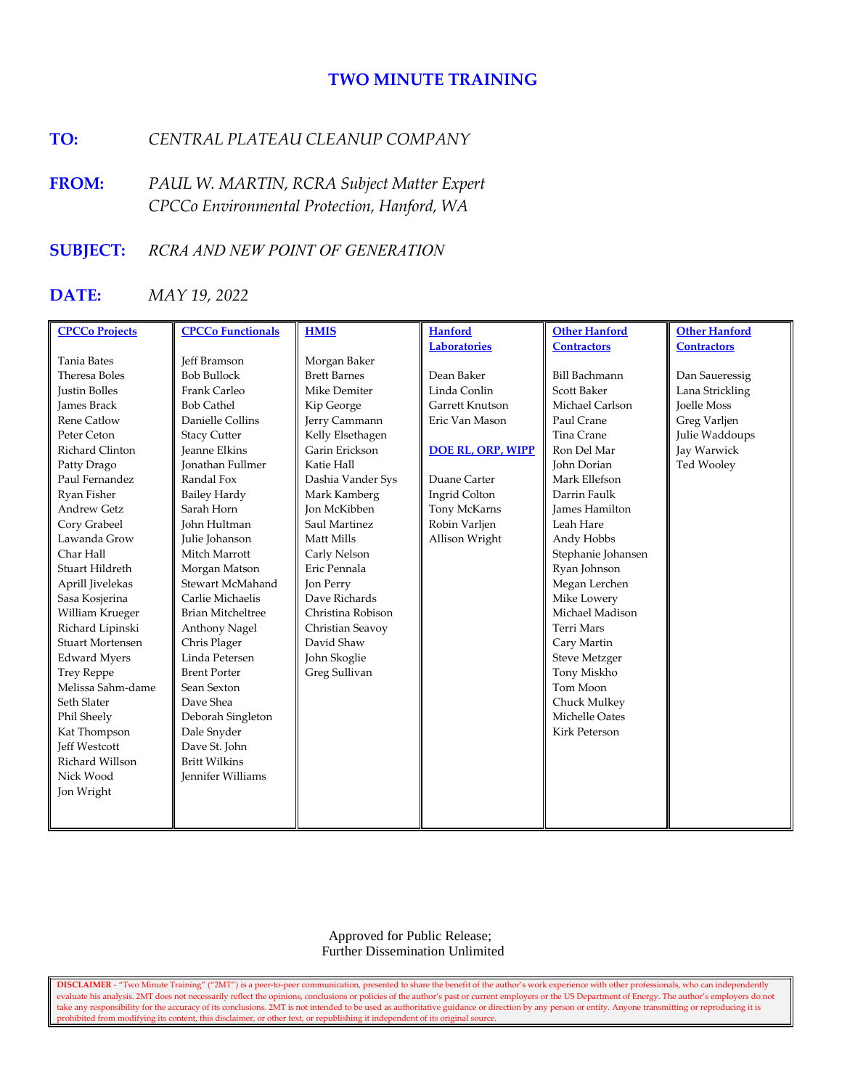# **TWO MINUTE TRAINING**

# **TO:** *CENTRAL PLATEAU CLEANUP COMPANY*

**FROM:** *PAUL W. MARTIN, RCRA Subject Matter Expert CPCCo Environmental Protection, Hanford, WA*

# **SUBJECT:** *RCRA AND NEW POINT OF GENERATION*

# **DATE:** *MAY 19, 2022*

| <b>CPCCo Projects</b>   | <b>CPCCo Functionals</b> | <b>HMIS</b>         | <b>Hanford</b>           | <b>Other Hanford</b>  | <b>Other Hanford</b> |
|-------------------------|--------------------------|---------------------|--------------------------|-----------------------|----------------------|
|                         |                          |                     | <b>Laboratories</b>      | <b>Contractors</b>    | <b>Contractors</b>   |
| <b>Tania Bates</b>      | <b>Jeff Bramson</b>      | Morgan Baker        |                          |                       |                      |
| Theresa Boles           | <b>Bob Bullock</b>       | <b>Brett Barnes</b> | Dean Baker               | <b>Bill Bachmann</b>  | Dan Saueressig       |
| <b>Justin Bolles</b>    | Frank Carleo             | Mike Demiter        | Linda Conlin             | Scott Baker           | Lana Strickling      |
| <b>James Brack</b>      | <b>Bob Cathel</b>        | Kip George          | Garrett Knutson          | Michael Carlson       | <b>Joelle Moss</b>   |
| <b>Rene Catlow</b>      | Danielle Collins         | Jerry Cammann       | Eric Van Mason           | Paul Crane            | Greg Varljen         |
| Peter Ceton             | <b>Stacy Cutter</b>      | Kelly Elsethagen    |                          | Tina Crane            | Julie Waddoups       |
| Richard Clinton         | <b>Jeanne Elkins</b>     | Garin Erickson      | <b>DOE RL, ORP, WIPP</b> | Ron Del Mar           | Jay Warwick          |
| Patty Drago             | <b>Ionathan Fullmer</b>  | Katie Hall          |                          | John Dorian           | Ted Wooley           |
| Paul Fernandez          | Randal Fox               | Dashia Vander Sys   | Duane Carter             | Mark Ellefson         |                      |
| Ryan Fisher             | <b>Bailey Hardy</b>      | Mark Kamberg        | Ingrid Colton            | Darrin Faulk          |                      |
| <b>Andrew Getz</b>      | Sarah Horn               | <b>Jon McKibben</b> | Tony McKarns             | <b>James Hamilton</b> |                      |
| Cory Grabeel            | John Hultman             | Saul Martinez       | Robin Varljen            | Leah Hare             |                      |
| Lawanda Grow            | Julie Johanson           | Matt Mills          | Allison Wright           | Andy Hobbs            |                      |
| Char Hall               | Mitch Marrott            | Carly Nelson        |                          | Stephanie Johansen    |                      |
| Stuart Hildreth         | Morgan Matson            | Eric Pennala        |                          | Ryan Johnson          |                      |
| Aprill Jivelekas        | Stewart McMahand         | Jon Perry           |                          | Megan Lerchen         |                      |
| Sasa Kosjerina          | Carlie Michaelis         | Dave Richards       |                          | Mike Lowery           |                      |
| William Krueger         | <b>Brian Mitcheltree</b> | Christina Robison   |                          | Michael Madison       |                      |
| Richard Lipinski        | Anthony Nagel            | Christian Seavoy    |                          | <b>Terri Mars</b>     |                      |
| <b>Stuart Mortensen</b> | Chris Plager             | David Shaw          |                          | Cary Martin           |                      |
| <b>Edward Myers</b>     | Linda Petersen           | John Skoglie        |                          | <b>Steve Metzger</b>  |                      |
| <b>Trey Reppe</b>       | <b>Brent Porter</b>      | Greg Sullivan       |                          | Tony Miskho           |                      |
| Melissa Sahm-dame       | Sean Sexton              |                     |                          | Tom Moon              |                      |
| Seth Slater             | Dave Shea                |                     |                          | Chuck Mulkey          |                      |
| Phil Sheely             | Deborah Singleton        |                     |                          | Michelle Oates        |                      |
| Kat Thompson            | Dale Snyder              |                     |                          | Kirk Peterson         |                      |
| <b>Jeff Westcott</b>    | Dave St. John            |                     |                          |                       |                      |
| Richard Willson         | <b>Britt Wilkins</b>     |                     |                          |                       |                      |
| Nick Wood               | <b>Jennifer Williams</b> |                     |                          |                       |                      |
| Jon Wright              |                          |                     |                          |                       |                      |
|                         |                          |                     |                          |                       |                      |
|                         |                          |                     |                          |                       |                      |

 Approved for Public Release; Further Dissemination Unlimited

**DISCLAIMER** - "Two Minute Training" ("2MT") is a peer-to-peer communication, presented to share the benefit of the author's work experience with other professionals, who can independently evaluate his analysis. 2MT does not necessarily reflect the opinions, conclusions or policies of the author's past or current employers or the US Department of Energy. The author's employers do not take any responsibility for the accuracy of its conclusions. 2MT is not intended to be used as authoritative guidance or direction by any person or entity. Anyone transmitting or reproducing it is prohibited from modifying its content, this disclaimer, or other text, or republishing it independent of its original source.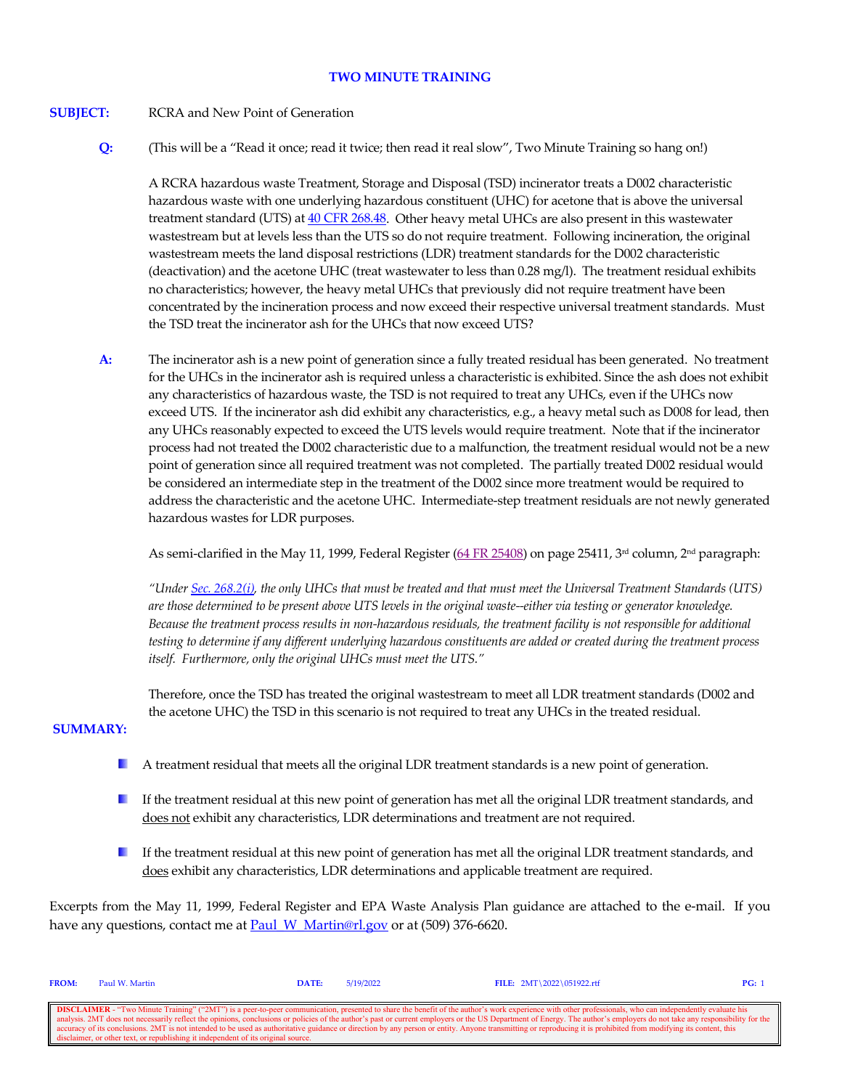## **TWO MINUTE TRAINING**

## **SUBJECT:** RCRA and New Point of Generation

**Q:** (This will be a "Read it once; read it twice; then read it real slow", Two Minute Training so hang on!)

A RCRA hazardous waste Treatment, Storage and Disposal (TSD) incinerator treats a D002 characteristic hazardous waste with one underlying hazardous constituent (UHC) for acetone that is above the universal treatment standard (UTS) at [40 CFR 268.48.](https://www.govinfo.gov/content/pkg/CFR-2021-title40-vol29/xml/CFR-2021-title40-vol29-sec268-48.xml) Other heavy metal UHCs are also present in this wastewater wastestream but at levels less than the UTS so do not require treatment. Following incineration, the original wastestream meets the land disposal restrictions (LDR) treatment standards for the D002 characteristic (deactivation) and the acetone UHC (treat wastewater to less than 0.28 mg/l). The treatment residual exhibits no characteristics; however, the heavy metal UHCs that previously did not require treatment have been concentrated by the incineration process and now exceed their respective universal treatment standards. Must the TSD treat the incinerator ash for the UHCs that now exceed UTS?

**A:** The incinerator ash is a new point of generation since a fully treated residual has been generated. No treatment for the UHCs in the incinerator ash is required unless a characteristic is exhibited. Since the ash does not exhibit any characteristics of hazardous waste, the TSD is not required to treat any UHCs, even if the UHCs now exceed UTS. If the incinerator ash did exhibit any characteristics, e.g., a heavy metal such as D008 for lead, then any UHCs reasonably expected to exceed the UTS levels would require treatment. Note that if the incinerator process had not treated the D002 characteristic due to a malfunction, the treatment residual would not be a new point of generation since all required treatment was not completed. The partially treated D002 residual would be considered an intermediate step in the treatment of the D002 since more treatment would be required to address the characteristic and the acetone UHC. Intermediate-step treatment residuals are not newly generated hazardous wastes for LDR purposes.

As semi-clarified in the May 11, 1999, Federal Register  $(64 FR 25408)$  on page 25411,  $3<sup>rd</sup>$  column,  $2<sup>nd</sup>$  paragraph:

*"Under [Sec. 268.2\(i\),](https://www.govinfo.gov/content/pkg/CFR-2021-title40-vol29/xml/CFR-2021-title40-vol29-sec268-2.xml) the only UHCs that must be treated and that must meet the Universal Treatment Standards (UTS) are those determined to be present above UTS levels in the original waste--either via testing or generator knowledge. Because the treatment process results in non-hazardous residuals, the treatment facility is not responsible for additional testing to determine if any different underlying hazardous constituents are added or created during the treatment process itself. Furthermore, only the original UHCs must meet the UTS."*

Therefore, once the TSD has treated the original wastestream to meet all LDR treatment standards (D002 and the acetone UHC) the TSD in this scenario is not required to treat any UHCs in the treated residual.

## **SUMMARY:**

- H. A treatment residual that meets all the original LDR treatment standards is a new point of generation.
- a ser If the treatment residual at this new point of generation has met all the original LDR treatment standards, and does not exhibit any characteristics, LDR determinations and treatment are not required.
- If the treatment residual at this new point of generation has met all the original LDR treatment standards, and does exhibit any characteristics, LDR determinations and applicable treatment are required.

Excerpts from the May 11, 1999, Federal Register and EPA Waste Analysis Plan guidance are attached to the e-mail. If you have any questions, contact me at Paul W\_Martin@rl.gov or at (509) 376-6620.

| FROM:                                                                                                                                                                                                                    | Paul W. Martin                                                                    | DATE: | 5/19/2022 | FILE: $2MT \ 2022 \ 051922.rtf$ | PG: |  |
|--------------------------------------------------------------------------------------------------------------------------------------------------------------------------------------------------------------------------|-----------------------------------------------------------------------------------|-------|-----------|---------------------------------|-----|--|
|                                                                                                                                                                                                                          |                                                                                   |       |           |                                 |     |  |
| <b>DISCLAIMER</b> - "Two Minute Training" ("2MT") is a peer-to-peer communication, presented to share the benefit of the author's work experience with other professionals, who can independently evaluate his           |                                                                                   |       |           |                                 |     |  |
| analysis. 2MT does not necessarily reflect the opinions, conclusions or policies of the author's past or current employers or the US Department of Energy. The author's employers do not take any responsibility for the |                                                                                   |       |           |                                 |     |  |
| accuracy of its conclusions. 2MT is not intended to be used as authoritative guidance or direction by any person or entity. Anyone transmitting or reproducing it is prohibited from modifying its content, this         |                                                                                   |       |           |                                 |     |  |
|                                                                                                                                                                                                                          | disclaimer, or other text, or republishing it independent of its original source. |       |           |                                 |     |  |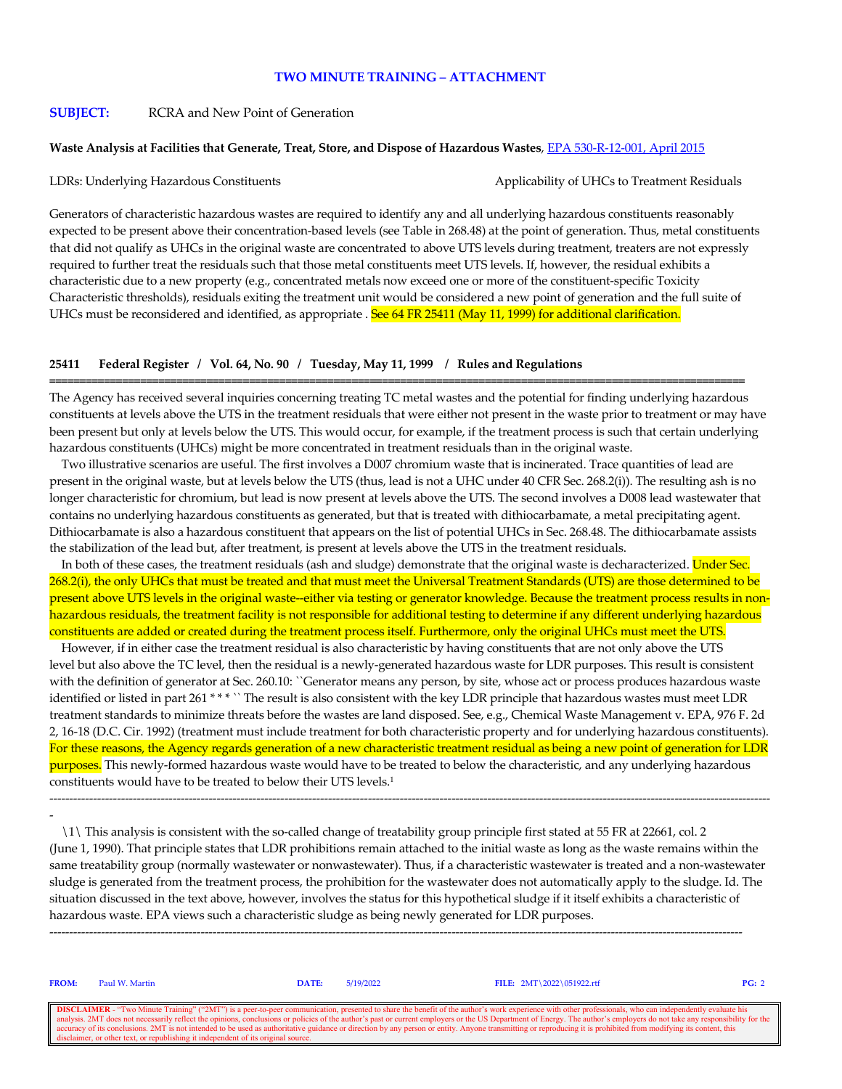#### **TWO MINUTE TRAINING – ATTACHMENT**

#### **SUBJECT:** RCRA and New Point of Generation

#### **Waste Analysis at Facilities that Generate, Treat, Store, and Dispose of Hazardous Wastes**, [EPA 530-R-12-001, April 2015](https://www.epa.gov/hwgenerators/guidance-manual-waste-analysis-facilities-generate-treat-store-and-dispose-hazardous)

LDRs: Underlying Hazardous Constituents Applicability of UHCs to Treatment Residuals

Generators of characteristic hazardous wastes are required to identify any and all underlying hazardous constituents reasonably expected to be present above their concentration-based levels (see Table in 268.48) at the point of generation. Thus, metal constituents that did not qualify as UHCs in the original waste are concentrated to above UTS levels during treatment, treaters are not expressly required to further treat the residuals such that those metal constituents meet UTS levels. If, however, the residual exhibits a characteristic due to a new property (e.g., concentrated metals now exceed one or more of the constituent-specific Toxicity Characteristic thresholds), residuals exiting the treatment unit would be considered a new point of generation and the full suite of UHCs must be reconsidered and identified, as appropriate . See 64 FR 25411 (May 11, 1999) for additional clarification.

#### **25411 Federal Register / Vol. 64, No. 90 / Tuesday, May 11, 1999 / Rules and Regulations**

The Agency has received several inquiries concerning treating TC metal wastes and the potential for finding underlying hazardous constituents at levels above the UTS in the treatment residuals that were either not present in the waste prior to treatment or may have been present but only at levels below the UTS. This would occur, for example, if the treatment process is such that certain underlying hazardous constituents (UHCs) might be more concentrated in treatment residuals than in the original waste.

**===================================================================================================================**

 Two illustrative scenarios are useful. The first involves a D007 chromium waste that is incinerated. Trace quantities of lead are present in the original waste, but at levels below the UTS (thus, lead is not a UHC under 40 CFR Sec. 268.2(i)). The resulting ash is no longer characteristic for chromium, but lead is now present at levels above the UTS. The second involves a D008 lead wastewater that contains no underlying hazardous constituents as generated, but that is treated with dithiocarbamate, a metal precipitating agent. Dithiocarbamate is also a hazardous constituent that appears on the list of potential UHCs in Sec. 268.48. The dithiocarbamate assists the stabilization of the lead but, after treatment, is present at levels above the UTS in the treatment residuals.

In both of these cases, the treatment residuals (ash and sludge) demonstrate that the original waste is decharacterized. Under Sec. 268.2(i), the only UHCs that must be treated and that must meet the Universal Treatment Standards (UTS) are those determined to be present above UTS levels in the original waste--either via testing or generator knowledge. Because the treatment process results in nonhazardous residuals, the treatment facility is not responsible for additional testing to determine if any different underlying hazardous constituents are added or created during the treatment process itself. Furthermore, only the original UHCs must meet the UTS.

 However, if in either case the treatment residual is also characteristic by having constituents that are not only above the UTS level but also above the TC level, then the residual is a newly-generated hazardous waste for LDR purposes. This result is consistent with the definition of generator at Sec. 260.10: "Generator means any person, by site, whose act or process produces hazardous waste identified or listed in part 261 \* \* \* `` The result is also consistent with the key LDR principle that hazardous wastes must meet LDR treatment standards to minimize threats before the wastes are land disposed. See, e.g., Chemical Waste Management v. EPA, 976 F. 2d 2, 16-18 (D.C. Cir. 1992) (treatment must include treatment for both characteristic property and for underlying hazardous constituents). For these reasons, the Agency regards generation of a new characteristic treatment residual as being a new point of generation for LDR purposes. This newly-formed hazardous waste would have to be treated to below the characteristic, and any underlying hazardous constituents would have to be treated to below their UTS levels.1

-

 \1\ This analysis is consistent with the so-called change of treatability group principle first stated at 55 FR at 22661, col. 2 (June 1, 1990). That principle states that LDR prohibitions remain attached to the initial waste as long as the waste remains within the same treatability group (normally wastewater or nonwastewater). Thus, if a characteristic wastewater is treated and a non-wastewater sludge is generated from the treatment process, the prohibition for the wastewater does not automatically apply to the sludge. Id. The situation discussed in the text above, however, involves the status for this hypothetical sludge if it itself exhibits a characteristic of hazardous waste. EPA views such a characteristic sludge as being newly generated for LDR purposes.

------------------------------------------------------------------------------------------------------------------------------------------------------------------------------

-------------------------------------------------------------------------------------------------------------------------------------------------------------------------------------

| <b>FROM:</b>                                                                                                                                                                                                             | Paul W. Martin | DATE: | 5/19/2022 | FILE: $2MT \ 2022 \ 051922.rtf$ | PG: 2 |  |
|--------------------------------------------------------------------------------------------------------------------------------------------------------------------------------------------------------------------------|----------------|-------|-----------|---------------------------------|-------|--|
|                                                                                                                                                                                                                          |                |       |           |                                 |       |  |
| <b>DISCLAIMER</b> - "Two Minute Training" ("2MT") is a peer-to-peer communication, presented to share the benefit of the author's work experience with other professionals, who can independently evaluate his           |                |       |           |                                 |       |  |
| analysis. 2MT does not necessarily reflect the opinions, conclusions or policies of the author's past or current employers or the US Department of Energy. The author's employers do not take any responsibility for the |                |       |           |                                 |       |  |
| accuracy of its conclusions. 2MT is not intended to be used as authoritative guidance or direction by any person or entity. Anyone transmitting or reproducing it is prohibited from modifying its content, this         |                |       |           |                                 |       |  |
| disclaimer, or other text, or republishing it independent of its original source.                                                                                                                                        |                |       |           |                                 |       |  |